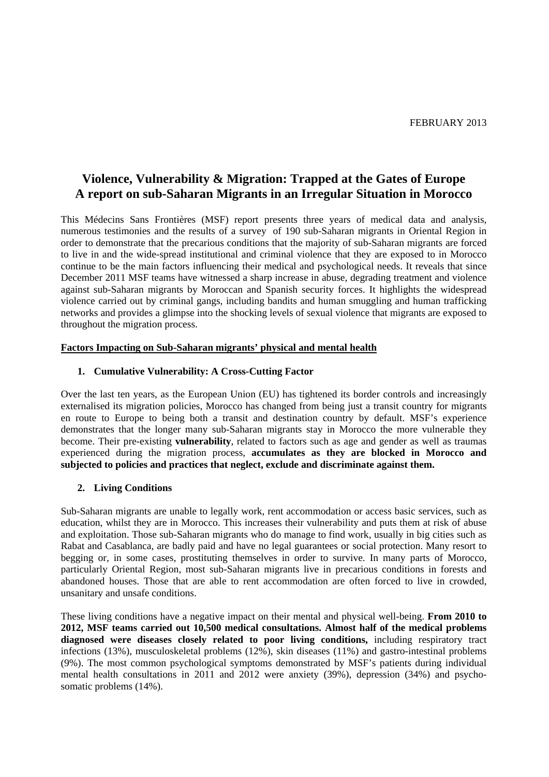# **Violence, Vulnerability & Migration: Trapped at the Gates of Europe A report on sub-Saharan Migrants in an Irregular Situation in Morocco**

This Médecins Sans Frontières (MSF) report presents three years of medical data and analysis, numerous testimonies and the results of a survey of 190 sub-Saharan migrants in Oriental Region in order to demonstrate that the precarious conditions that the majority of sub-Saharan migrants are forced to live in and the wide-spread institutional and criminal violence that they are exposed to in Morocco continue to be the main factors influencing their medical and psychological needs. It reveals that since December 2011 MSF teams have witnessed a sharp increase in abuse, degrading treatment and violence against sub-Saharan migrants by Moroccan and Spanish security forces. It highlights the widespread violence carried out by criminal gangs, including bandits and human smuggling and human trafficking networks and provides a glimpse into the shocking levels of sexual violence that migrants are exposed to throughout the migration process.

### **Factors Impacting on Sub-Saharan migrants' physical and mental health**

### **1. Cumulative Vulnerability: A Cross-Cutting Factor**

Over the last ten years, as the European Union (EU) has tightened its border controls and increasingly externalised its migration policies, Morocco has changed from being just a transit country for migrants en route to Europe to being both a transit and destination country by default. MSF's experience demonstrates that the longer many sub-Saharan migrants stay in Morocco the more vulnerable they become. Their pre-existing **vulnerability**, related to factors such as age and gender as well as traumas experienced during the migration process, **accumulates as they are blocked in Morocco and subjected to policies and practices that neglect, exclude and discriminate against them.**

#### **2. Living Conditions**

Sub-Saharan migrants are unable to legally work, rent accommodation or access basic services, such as education, whilst they are in Morocco. This increases their vulnerability and puts them at risk of abuse and exploitation. Those sub-Saharan migrants who do manage to find work, usually in big cities such as Rabat and Casablanca, are badly paid and have no legal guarantees or social protection. Many resort to begging or, in some cases, prostituting themselves in order to survive. In many parts of Morocco, particularly Oriental Region, most sub-Saharan migrants live in precarious conditions in forests and abandoned houses. Those that are able to rent accommodation are often forced to live in crowded, unsanitary and unsafe conditions.

These living conditions have a negative impact on their mental and physical well-being. **From 2010 to 2012, MSF teams carried out 10,500 medical consultations. Almost half of the medical problems diagnosed were diseases closely related to poor living conditions,** including respiratory tract infections (13%), musculoskeletal problems (12%), skin diseases (11%) and gastro-intestinal problems (9%). The most common psychological symptoms demonstrated by MSF's patients during individual mental health consultations in 2011 and 2012 were anxiety (39%), depression (34%) and psychosomatic problems (14%).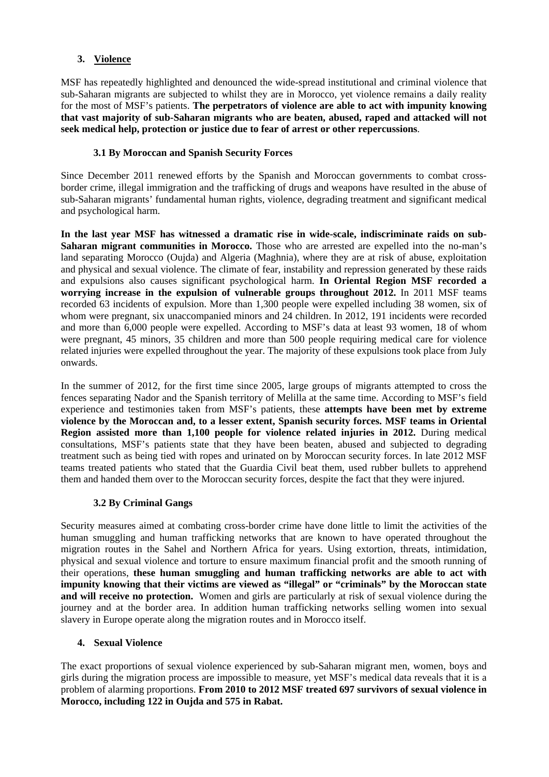# **3. Violence**

MSF has repeatedly highlighted and denounced the wide-spread institutional and criminal violence that sub-Saharan migrants are subjected to whilst they are in Morocco, yet violence remains a daily reality for the most of MSF's patients. **The perpetrators of violence are able to act with impunity knowing that vast majority of sub-Saharan migrants who are beaten, abused, raped and attacked will not seek medical help, protection or justice due to fear of arrest or other repercussions**.

## **3.1 By Moroccan and Spanish Security Forces**

Since December 2011 renewed efforts by the Spanish and Moroccan governments to combat crossborder crime, illegal immigration and the trafficking of drugs and weapons have resulted in the abuse of sub-Saharan migrants' fundamental human rights, violence, degrading treatment and significant medical and psychological harm.

**In the last year MSF has witnessed a dramatic rise in wide-scale, indiscriminate raids on sub-Saharan migrant communities in Morocco.** Those who are arrested are expelled into the no-man's land separating Morocco (Oujda) and Algeria (Maghnia), where they are at risk of abuse, exploitation and physical and sexual violence. The climate of fear, instability and repression generated by these raids and expulsions also causes significant psychological harm. **In Oriental Region MSF recorded a worrying increase in the expulsion of vulnerable groups throughout 2012.** In 2011 MSF teams recorded 63 incidents of expulsion. More than 1,300 people were expelled including 38 women, six of whom were pregnant, six unaccompanied minors and 24 children. In 2012, 191 incidents were recorded and more than 6,000 people were expelled. According to MSF's data at least 93 women, 18 of whom were pregnant, 45 minors, 35 children and more than 500 people requiring medical care for violence related injuries were expelled throughout the year. The majority of these expulsions took place from July onwards.

In the summer of 2012, for the first time since 2005, large groups of migrants attempted to cross the fences separating Nador and the Spanish territory of Melilla at the same time. According to MSF's field experience and testimonies taken from MSF's patients, these **attempts have been met by extreme violence by the Moroccan and, to a lesser extent, Spanish security forces. MSF teams in Oriental Region assisted more than 1,100 people for violence related injuries in 2012.** During medical consultations, MSF's patients state that they have been beaten, abused and subjected to degrading treatment such as being tied with ropes and urinated on by Moroccan security forces. In late 2012 MSF teams treated patients who stated that the Guardia Civil beat them, used rubber bullets to apprehend them and handed them over to the Moroccan security forces, despite the fact that they were injured.

# **3.2 By Criminal Gangs**

Security measures aimed at combating cross-border crime have done little to limit the activities of the human smuggling and human trafficking networks that are known to have operated throughout the migration routes in the Sahel and Northern Africa for years. Using extortion, threats, intimidation, physical and sexual violence and torture to ensure maximum financial profit and the smooth running of their operations, **these human smuggling and human trafficking networks are able to act with impunity knowing that their victims are viewed as "illegal" or "criminals" by the Moroccan state and will receive no protection.** Women and girls are particularly at risk of sexual violence during the journey and at the border area. In addition human trafficking networks selling women into sexual slavery in Europe operate along the migration routes and in Morocco itself.

## **4. Sexual Violence**

The exact proportions of sexual violence experienced by sub-Saharan migrant men, women, boys and girls during the migration process are impossible to measure, yet MSF's medical data reveals that it is a problem of alarming proportions. **From 2010 to 2012 MSF treated 697 survivors of sexual violence in Morocco, including 122 in Oujda and 575 in Rabat.**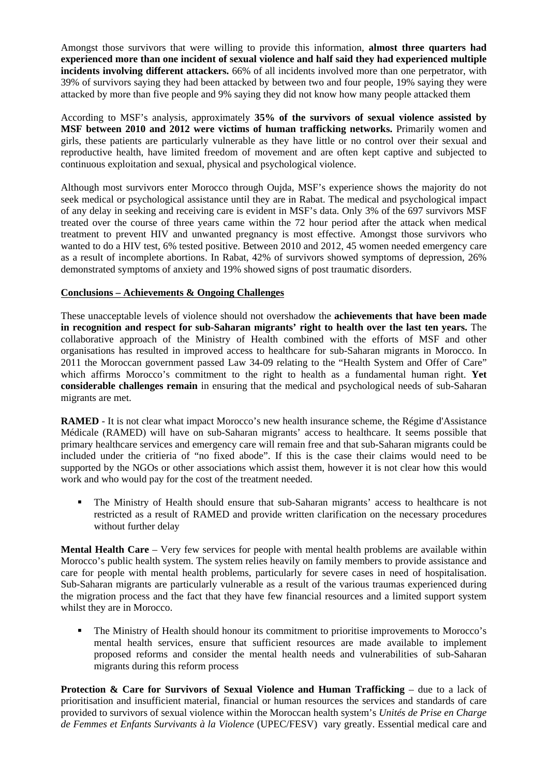Amongst those survivors that were willing to provide this information, **almost three quarters had experienced more than one incident of sexual violence and half said they had experienced multiple incidents involving different attackers.** 66% of all incidents involved more than one perpetrator, with 39% of survivors saying they had been attacked by between two and four people, 19% saying they were attacked by more than five people and 9% saying they did not know how many people attacked them

According to MSF's analysis, approximately **35% of the survivors of sexual violence assisted by MSF between 2010 and 2012 were victims of human trafficking networks.** Primarily women and girls, these patients are particularly vulnerable as they have little or no control over their sexual and reproductive health, have limited freedom of movement and are often kept captive and subjected to continuous exploitation and sexual, physical and psychological violence.

Although most survivors enter Morocco through Oujda, MSF's experience shows the majority do not seek medical or psychological assistance until they are in Rabat. The medical and psychological impact of any delay in seeking and receiving care is evident in MSF's data. Only 3% of the 697 survivors MSF treated over the course of three years came within the 72 hour period after the attack when medical treatment to prevent HIV and unwanted pregnancy is most effective. Amongst those survivors who wanted to do a HIV test, 6% tested positive. Between 2010 and 2012, 45 women needed emergency care as a result of incomplete abortions. In Rabat, 42% of survivors showed symptoms of depression, 26% demonstrated symptoms of anxiety and 19% showed signs of post traumatic disorders.

## **Conclusions – Achievements & Ongoing Challenges**

These unacceptable levels of violence should not overshadow the **achievements that have been made in recognition and respect for sub-Saharan migrants' right to health over the last ten years.** The collaborative approach of the Ministry of Health combined with the efforts of MSF and other organisations has resulted in improved access to healthcare for sub-Saharan migrants in Morocco. In 2011 the Moroccan government passed Law 34-09 relating to the "Health System and Offer of Care" which affirms Morocco's commitment to the right to health as a fundamental human right. **Yet considerable challenges remain** in ensuring that the medical and psychological needs of sub-Saharan migrants are met.

**RAMED** - It is not clear what impact Morocco's new health insurance scheme, the Régime d'Assistance Médicale (RAMED) will have on sub-Saharan migrants' access to healthcare. It seems possible that primary healthcare services and emergency care will remain free and that sub-Saharan migrants could be included under the critieria of "no fixed abode". If this is the case their claims would need to be supported by the NGOs or other associations which assist them, however it is not clear how this would work and who would pay for the cost of the treatment needed.

 The Ministry of Health should ensure that sub-Saharan migrants' access to healthcare is not restricted as a result of RAMED and provide written clarification on the necessary procedures without further delay

**Mental Health Care** – Very few services for people with mental health problems are available within Morocco's public health system. The system relies heavily on family members to provide assistance and care for people with mental health problems, particularly for severe cases in need of hospitalisation. Sub-Saharan migrants are particularly vulnerable as a result of the various traumas experienced during the migration process and the fact that they have few financial resources and a limited support system whilst they are in Morocco.

 The Ministry of Health should honour its commitment to prioritise improvements to Morocco's mental health services, ensure that sufficient resources are made available to implement proposed reforms and consider the mental health needs and vulnerabilities of sub-Saharan migrants during this reform process

**Protection & Care for Survivors of Sexual Violence and Human Trafficking** – due to a lack of prioritisation and insufficient material, financial or human resources the services and standards of care provided to survivors of sexual violence within the Moroccan health system's *Unités de Prise en Charge de Femmes et Enfants Survivants à la Violence* (UPEC/FESV) vary greatly. Essential medical care and